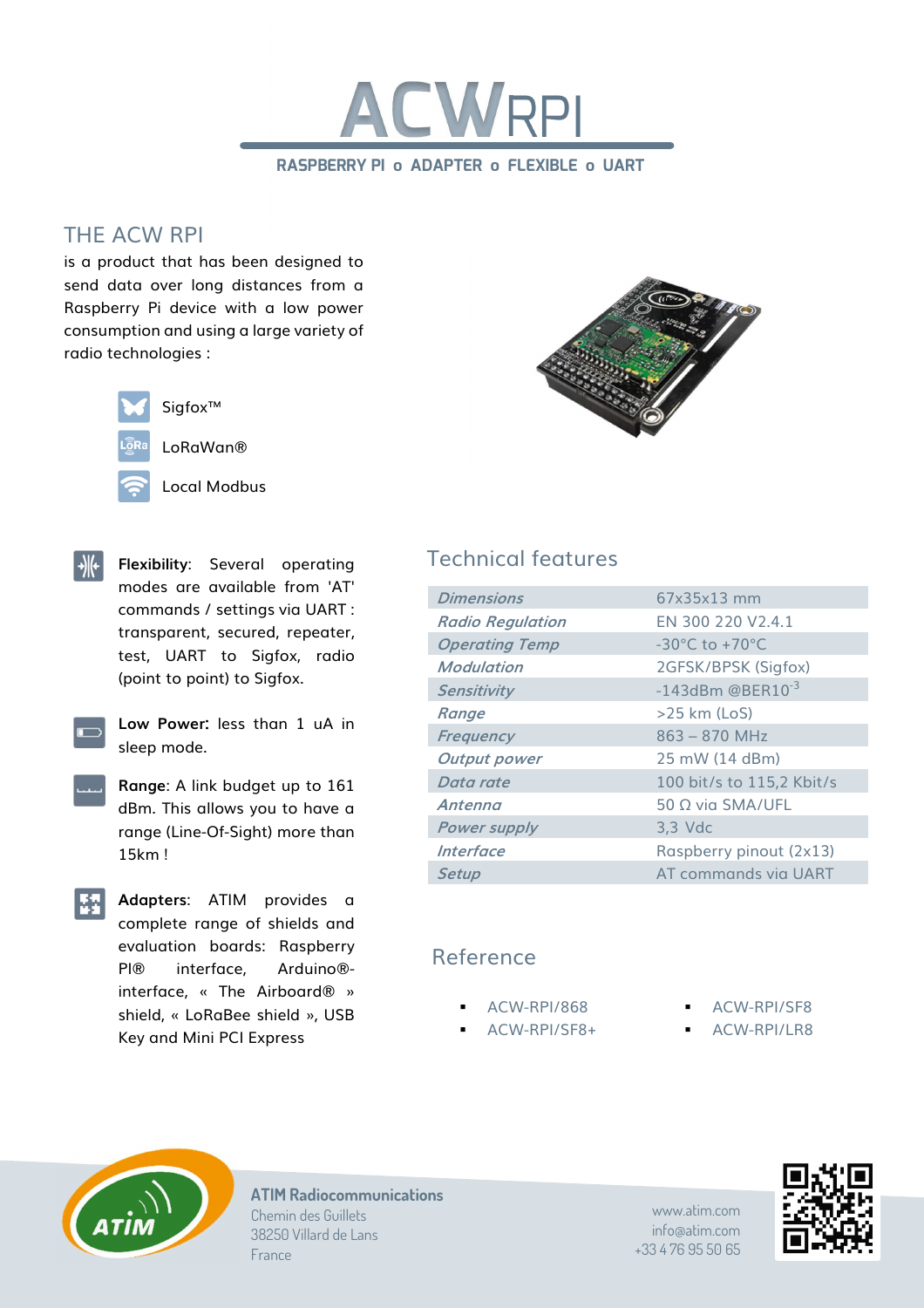

## THE ACW RPI

is a product that has been designed to send data over long distances from a Raspberry Pi device with a low power consumption and using a large variety of radio technologies :



Sigfox™

LoRaWan®

Local Modbus



- **Flexibility**: Several operating modes are available from 'AT' commands / settings via UART : transparent, secured, repeater, test, UART to Sigfox, radio (point to point) to Sigfox.
	- **Low Power:** less than 1 uA in sleep mode.
	- **Range**: A link budget up to 161 dBm. This allows you to have a range (Line-Of-Sight) more than 15km !
- **Adapters**: ATIM provides a complete range of shields and evaluation boards: Raspberry PI® interface, Arduino® interface, « The Airboard® » shield, « LoRaBee shield », USB Key and Mini PCI Express

# Technical features

| $67x35x13$ mm                      |
|------------------------------------|
| FN 300 220 V2.4.1                  |
| $-30^{\circ}$ C to $+70^{\circ}$ C |
| 2GFSK/BPSK (Sigfox)                |
| $-143$ dBm @BER $10^{-3}$          |
| $>25$ km (LoS)                     |
| $863 - 870$ MHz                    |
| 25 mW (14 dBm)                     |
| 100 bit/s to 115,2 Kbit/s          |
| $50 \Omega$ via SMA/UFL            |
| $3,3$ Vdc                          |
| Raspberry pinout (2x13)            |
| AT commands via UART               |
|                                    |

### Reference

- ACW-RPI/868
- ACW-RPI/SF8+
- ACW-RPI/SF8
- ACW-RPI/LR8



**ATIM Radiocommunications** Chemin des Guillets 38250 Villard de Lans France

www.atim.com info@atim.com +33 4 76 95 50 65